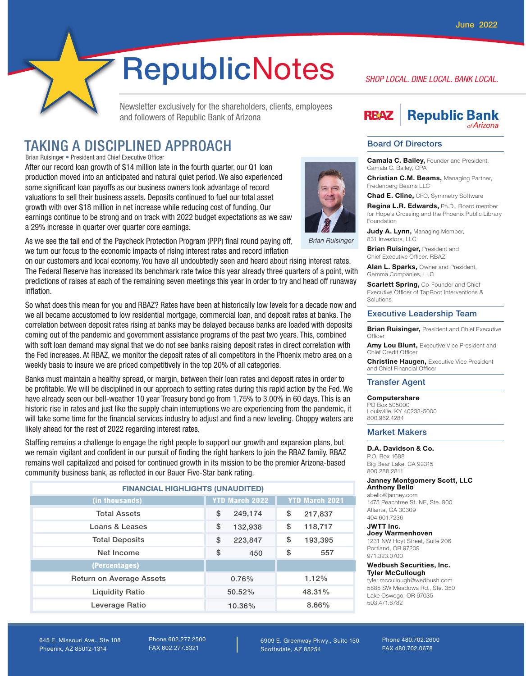# RepublicNotes

Newsletter exclusively for the shareholders, clients, employees and followers of Republic Bank of Arizona

# TAKING A DISCIPLINED APPROACH

Brian Ruisinger • President and Chief Executive Officer

After our record loan growth of \$14 million late in the fourth quarter, our Q1 loan production moved into an anticipated and natural quiet period. We also experienced some significant loan payoffs as our business owners took advantage of record valuations to sell their business assets. Deposits continued to fuel our total asset growth with over \$18 million in net increase while reducing cost of funding. Our earnings continue to be strong and on track with 2022 budget expectations as we saw a 29% increase in quarter over quarter core earnings.



**Brian Ruisinger** 

As we see the tail end of the Paycheck Protection Program (PPP) final round paying off, we turn our focus to the economic impacts of rising interest rates and record inflation

on our customers and local economy. You have all undoubtedly seen and heard about rising interest rates. The Federal Reserve has increased its benchmark rate twice this year already three quarters of a point, with predictions of raises at each of the remaining seven meetings this year in order to try and head off runaway inflation.

So what does this mean for you and RBAZ? Rates have been at historically low levels for a decade now and we all became accustomed to low residential mortgage, commercial loan, and deposit rates at banks. The correlation between deposit rates rising at banks may be delayed because banks are loaded with deposits coming out of the pandemic and government assistance programs of the past two years. This, combined with soft loan demand may signal that we do not see banks raising deposit rates in direct correlation with the Fed increases. At RBAZ, we monitor the deposit rates of all competitors in the Phoenix metro area on a weekly basis to insure we are priced competitively in the top 20% of all categories.

Banks must maintain a healthy spread, or margin, between their loan rates and deposit rates in order to be profitable. We will be disciplined in our approach to setting rates during this rapid action by the Fed. We have already seen our bell-weather 10 year Treasury bond go from 1.75% to 3.00% in 60 days. This is an historic rise in rates and just like the supply chain interruptions we are experiencing from the pandemic, it will take some time for the financial services industry to adjust and find a new leveling. Choppy waters are likely ahead for the rest of 2022 regarding interest rates.

Staffing remains a challenge to engage the right people to support our growth and expansion plans, but we remain vigilant and confident in our pursuit of finding the right bankers to join the RBAZ family. RBAZ remains well capitalized and poised for continued growth in its mission to be the premier Arizona-based community business bank, as reflected in our Bauer Five-Star bank rating.

| <b>FINANCIAL HIGHLIGHTS (UNAUDITED)</b> |                       |                       |
|-----------------------------------------|-----------------------|-----------------------|
| (in thousands)                          | <b>YTD March 2022</b> | <b>YTD March 2021</b> |
| <b>Total Assets</b>                     | \$<br>249,174         | \$<br>217,837         |
| Loans & Leases                          | \$<br>132,938         | \$<br>118,717         |
| <b>Total Deposits</b>                   | \$<br>223,847         | \$<br>193,395         |
| Net Income                              | \$<br>450             | \$<br>557             |
| (Percentages)                           |                       |                       |
| <b>Return on Average Assets</b>         | 0.76%                 | 1.12%                 |
| <b>Liquidity Ratio</b>                  | 50.52%                | 48.31%                |
| Leverage Ratio                          | 10.36%                | 8.66%                 |

# *SHOP LOCAL. DINE LOCAL. BANK LOCAL.*

### **Republic Bank RB47**

 $of Arizona$ 

#### Board Of Directors

Camala C. Bailey, Founder and President, Camala C. Bailey, CPA

**Christian C.M. Beams, Managing Partner,** Fredenberg Beams LLC

**Chad E. Cline, CFO, Symmetry Software** 

Regina L.R. Edwards, Ph.D., Board member for Hope's Crossing and the Phoenix Public Library Foundation

Judy A. Lynn, Managing Member, 831 Investors, LLC

**Brian Ruisinger, President and** Chief Executive Officer, RBAZ

Alan L. Sparks, Owner and President, Gemma Companies, LLC

**Scarlett Spring, Co-Founder and Chief** Executive Officer of TapRoot Interventions & Solutions

#### Executive Leadership Team

**Brian Ruisinger, President and Chief Executive Officer** 

Amy Lou Blunt, Executive Vice President and Chief Credit Office

**Christine Haugen, Executive Vice President** and Chief Financial Officer

#### Transfer Agent

#### Computershare PO Box 505000

Louisville, KY 40233-5000 800.962.4284

#### Market Makers

#### D.A. Davidson & Co.

P.O. Box 1688 Big Bear Lake, CA 92315 800.288.2811

#### Janney Montgomery Scott, LLC Anthony Bello

abello@janney.com 1475 Peachtree St. NE, Ste. 800 Atlanta, GA 30309 404.601.7236

#### JWTT Inc.

Joey Warmenhoven 1231 NW Hoyt Street, Suite 206 Portland, OR 97209 971.323.0700

#### Wedbush Securities, Inc. Tyler McCullough

tyler.mccullough@wedbush.com 5885 SW Meadows Rd., Ste. 350 Lake Oswego, OR 97035 503.471.6782

645 E. Missouri Ave., Ste 108 Phoenix, AZ 85012-1314

Phone 602.277.2500 FAX 602.277.5321

6909 E. Greenway Pkwy., Suite 150 Scottsdale, AZ 85254

Phone 480.702.2600 FAX 480.702.0678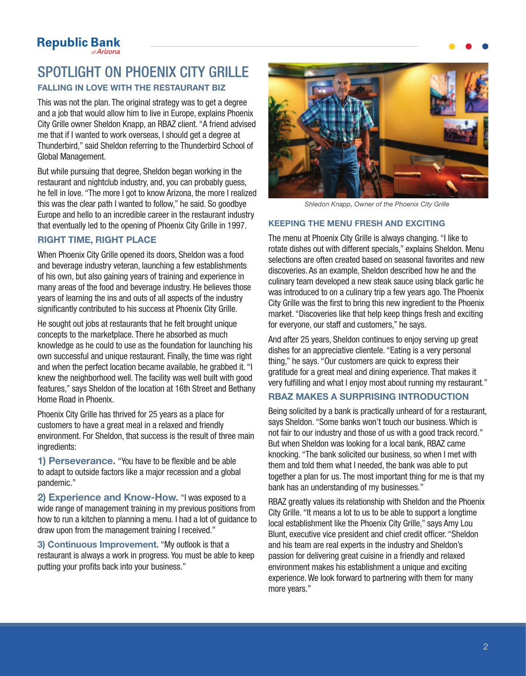# SPOTLIGHT ON PHOENIX CITY GRILLE FALLING IN LOVE WITH THE RESTAURANT BIZ

This was not the plan. The original strategy was to get a degree and a job that would allow him to live in Europe, explains Phoenix City Grille owner Sheldon Knapp, an RBAZ client. "A friend advised me that if I wanted to work overseas, I should get a degree at Thunderbird," said Sheldon referring to the Thunderbird School of Global Management.

But while pursuing that degree, Sheldon began working in the restaurant and nightclub industry, and, you can probably guess, he fell in love. "The more I got to know Arizona, the more I realized this was the clear path I wanted to follow," he said. So goodbye Europe and hello to an incredible career in the restaurant industry that eventually led to the opening of Phoenix City Grille in 1997.

### RIGHT TIME, RIGHT PLACE

When Phoenix City Grille opened its doors, Sheldon was a food and beverage industry veteran, launching a few establishments of his own, but also gaining years of training and experience in many areas of the food and beverage industry. He believes those years of learning the ins and outs of all aspects of the industry significantly contributed to his success at Phoenix City Grille.

He sought out jobs at restaurants that he felt brought unique concepts to the marketplace. There he absorbed as much knowledge as he could to use as the foundation for launching his own successful and unique restaurant. Finally, the time was right and when the perfect location became available, he grabbed it. "I knew the neighborhood well. The facility was well built with good features," says Sheldon of the location at 16th Street and Bethany Home Road in Phoenix.

Phoenix City Grille has thrived for 25 years as a place for customers to have a great meal in a relaxed and friendly environment. For Sheldon, that success is the result of three main ingredients:

1) Perseverance. "You have to be flexible and be able to adapt to outside factors like a major recession and a global pandemic."

2) Experience and Know-How. "I was exposed to a wide range of management training in my previous positions from how to run a kitchen to planning a menu. I had a lot of guidance to draw upon from the management training I received."

3) Continuous Improvement. "My outlook is that a restaurant is always a work in progress. You must be able to keep putting your profits back into your business."



*Shledon Knapp, Owner of the Phoenix City Grille*

### KEEPING THE MENU FRESH AND EXCITING

The menu at Phoenix City Grille is always changing. "I like to rotate dishes out with different specials," explains Sheldon. Menu selections are often created based on seasonal favorites and new discoveries. As an example, Sheldon described how he and the culinary team developed a new steak sauce using black garlic he was introduced to on a culinary trip a few years ago. The Phoenix City Grille was the first to bring this new ingredient to the Phoenix market. "Discoveries like that help keep things fresh and exciting for everyone, our staff and customers," he says.

And after 25 years, Sheldon continues to enjoy serving up great dishes for an appreciative clientele. "Eating is a very personal thing," he says. "Our customers are quick to express their gratitude for a great meal and dining experience. That makes it very fulfilling and what I enjoy most about running my restaurant."

### RBAZ MAKES A SURPRISING INTRODUCTION

Being solicited by a bank is practically unheard of for a restaurant, says Sheldon. "Some banks won't touch our business. Which is not fair to our industry and those of us with a good track record." But when Sheldon was looking for a local bank, RBAZ came knocking. "The bank solicited our business, so when I met with them and told them what I needed, the bank was able to put together a plan for us. The most important thing for me is that my bank has an understanding of my businesses."

RBAZ greatly values its relationship with Sheldon and the Phoenix City Grille. "It means a lot to us to be able to support a longtime local establishment like the Phoenix City Grille," says Amy Lou Blunt, executive vice president and chief credit officer. "Sheldon and his team are real experts in the industry and Sheldon's passion for delivering great cuisine in a friendly and relaxed environment makes his establishment a unique and exciting experience. We look forward to partnering with them for many more years."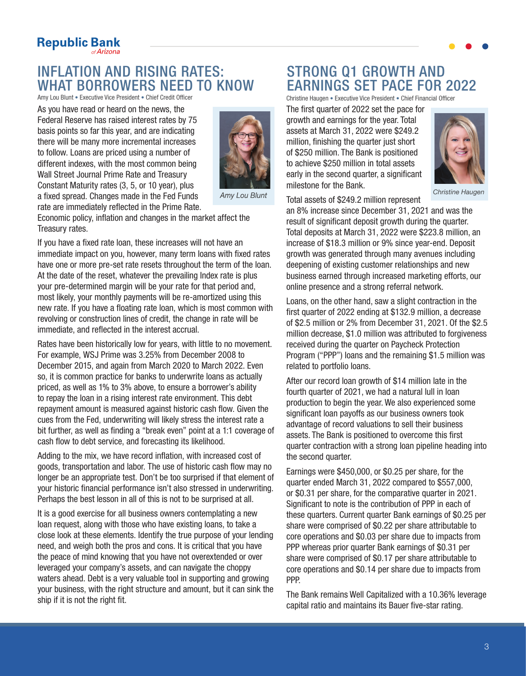# **Republic Bank**

# INFLATION AND RISING RATES: WHAT BORROWERS NEED TO KNOW<br>Amy Lou Blunt • Executive Vice President • Chief Credit Officer

As you have read or heard on the news, the Federal Reserve has raised interest rates by 75 basis points so far this year, and are indicating there will be many more incremental increases to follow. Loans are priced using a number of different indexes, with the most common being Wall Street Journal Prime Rate and Treasury Constant Maturity rates (3, 5, or 10 year), plus a fixed spread. Changes made in the Fed Funds rate are immediately reflected in the Prime Rate.



Amy Lou Blunt

Economic policy, inflation and changes in the market affect the Treasury rates.

If you have a fixed rate loan, these increases will not have an immediate impact on you, however, many term loans with fixed rates have one or more pre-set rate resets throughout the term of the loan. At the date of the reset, whatever the prevailing Index rate is plus your pre-determined margin will be your rate for that period and, most likely, your monthly payments will be re-amortized using this new rate. If you have a floating rate loan, which is most common with revolving or construction lines of credit, the change in rate will be immediate, and reflected in the interest accrual.

Rates have been historically low for years, with little to no movement. For example, WSJ Prime was 3.25% from December 2008 to December 2015, and again from March 2020 to March 2022. Even so, it is common practice for banks to underwrite loans as actually priced, as well as 1% to 3% above, to ensure a borrower's ability to repay the loan in a rising interest rate environment. This debt repayment amount is measured against historic cash flow. Given the cues from the Fed, underwriting will likely stress the interest rate a bit further, as well as finding a "break even" point at a 1:1 coverage of cash flow to debt service, and forecasting its likelihood.

Adding to the mix, we have record inflation, with increased cost of goods, transportation and labor. The use of historic cash flow may no longer be an appropriate test. Don't be too surprised if that element of your historic financial performance isn't also stressed in underwriting. Perhaps the best lesson in all of this is not to be surprised at all.

It is a good exercise for all business owners contemplating a new loan request, along with those who have existing loans, to take a close look at these elements. Identify the true purpose of your lending need, and weigh both the pros and cons. It is critical that you have the peace of mind knowing that you have not overextended or over leveraged your company's assets, and can navigate the choppy waters ahead. Debt is a very valuable tool in supporting and growing your business, with the right structure and amount, but it can sink the ship if it is not the right fit.

# STRONG Q1 GROWTH AND EARNINGS SET PACE FOR 2022

Christine Haugen • Executive Vice President • Chief Financial Officer

The first quarter of 2022 set the pace for growth and earnings for the year. Total assets at March 31, 2022 were \$249.2 million, finishing the quarter just short of \$250 million. The Bank is positioned to achieve \$250 million in total assets early in the second quarter, a significant milestone for the Bank.



*Christine Haugen*

Total assets of \$249.2 million represent

an 8% increase since December 31, 2021 and was the result of significant deposit growth during the quarter. Total deposits at March 31, 2022 were \$223.8 million, an increase of \$18.3 million or 9% since year-end. Deposit growth was generated through many avenues including deepening of existing customer relationships and new business earned through increased marketing efforts, our online presence and a strong referral network.

Loans, on the other hand, saw a slight contraction in the first quarter of 2022 ending at \$132.9 million, a decrease of \$2.5 million or 2% from December 31, 2021. Of the \$2.5 million decrease, \$1.0 million was attributed to forgiveness received during the quarter on Paycheck Protection Program ("PPP") loans and the remaining \$1.5 million was related to portfolio loans.

After our record loan growth of \$14 million late in the fourth quarter of 2021, we had a natural lull in loan production to begin the year. We also experienced some significant loan payoffs as our business owners took advantage of record valuations to sell their business assets. The Bank is positioned to overcome this first quarter contraction with a strong loan pipeline heading into the second quarter.

Earnings were \$450,000, or \$0.25 per share, for the quarter ended March 31, 2022 compared to \$557,000, or \$0.31 per share, for the comparative quarter in 2021. Significant to note is the contribution of PPP in each of these quarters. Current quarter Bank earnings of \$0.25 per share were comprised of \$0.22 per share attributable to core operations and \$0.03 per share due to impacts from PPP whereas prior quarter Bank earnings of \$0.31 per share were comprised of \$0.17 per share attributable to core operations and \$0.14 per share due to impacts from PPP.

The Bank remains Well Capitalized with a 10.36% leverage capital ratio and maintains its Bauer five-star rating.